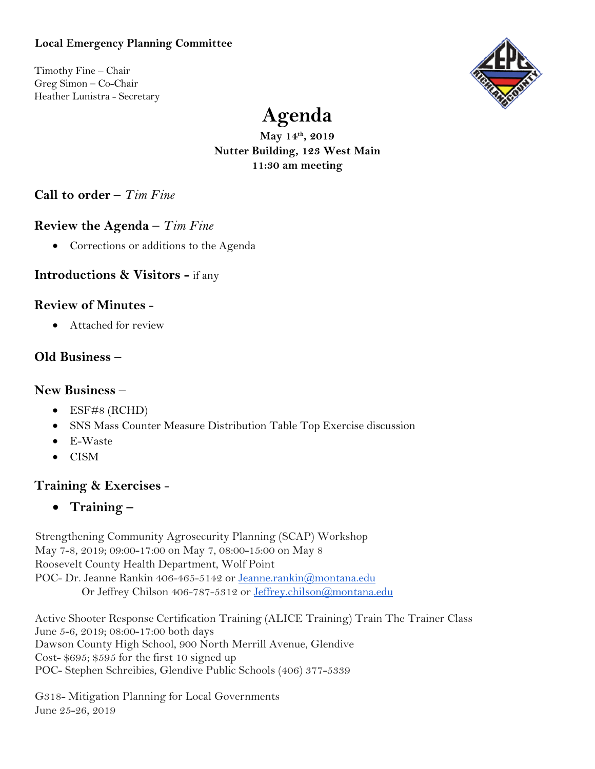#### **Local Emergency Planning Committee**

Timothy Fine – Chair Greg Simon – Co-Chair Heather Lunistra - Secretary



# **Agenda**

**May 14th, 2019 Nutter Building, 123 West Main 11:30 am meeting** 

**Call to order** – *Tim Fine*

## **Review the Agenda** – *Tim Fine*

• Corrections or additions to the Agenda

## **Introductions & Visitors -** if any

#### **Review of Minutes** -

• Attached for review

## **Old Business** –

#### **New Business** –

- ESF#8 (RCHD)
- SNS Mass Counter Measure Distribution Table Top Exercise discussion
- E-Waste
- CISM

## **Training & Exercises** -

• **Training –**

Strengthening Community Agrosecurity Planning (SCAP) Workshop May 7-8, 2019; 09:00-17:00 on May 7, 08:00-15:00 on May 8 Roosevelt County Health Department, Wolf Point POC- Dr. Jeanne Rankin 406-465-5142 or [Jeanne.rankin@montana.edu](mailto:Jeanne.rankin@montana.edu) Or Jeffrey Chilson 406-787-5312 or [Jeffrey.chilson@montana.edu](mailto:Jeffrey.chilson@montana.edu)

Active Shooter Response Certification Training (ALICE Training) Train The Trainer Class June 5-6, 2019; 08:00-17:00 both days Dawson County High School, 900 North Merrill Avenue, Glendive Cost- \$695; \$595 for the first 10 signed up POC- Stephen Schreibies, Glendive Public Schools (406) 377-5339

G318- Mitigation Planning for Local Governments June 25-26, 2019